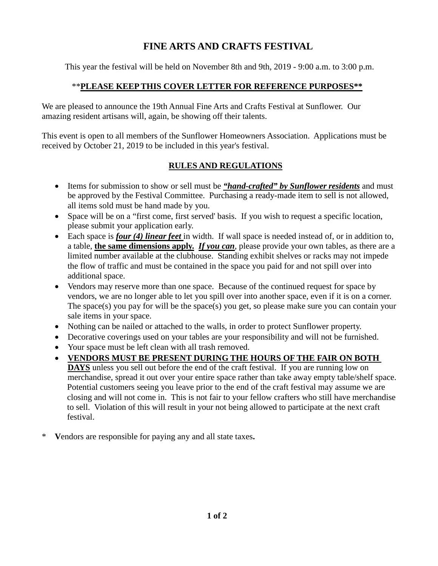# **FINE ARTS AND CRAFTS FESTIVAL**

This year the festival will be held on November 8th and 9th, 2019 - 9:00 a.m. to 3:00 p.m.

### \*\***PLEASE KEEP THIS COVER LETTER FOR REFERENCE PURPOSES\*\***

We are pleased to announce the 19th Annual Fine Arts and Crafts Festival at Sunflower. Our amazing resident artisans will, again, be showing off their talents.

This event is open to all members of the Sunflower Homeowners Association. Applications must be received by October 21, 2019 to be included in this year's festival.

### **RULES AND REGULATIONS**

- Items for submission to show or sell must be *"hand-crafted" by Sunflower residents* and must be approved by the Festival Committee. Purchasing a ready-made item to sell is not allowed, all items sold must be hand made by you.
- Space will be on a "first come, first served' basis. If you wish to request a specific location, please submit your application early.
- Each space is *four (4) linear feet* in width. If wall space is needed instead of, or in addition to, a table, **the same dimensions apply.** *If you can*, please provide your own tables, as there are a limited number available at the clubhouse. Standing exhibit shelves or racks may not impede the flow of traffic and must be contained in the space you paid for and not spill over into additional space.
- Vendors may reserve more than one space. Because of the continued request for space by vendors, we are no longer able to let you spill over into another space, even if it is on a corner. The space(s) you pay for will be the space(s) you get, so please make sure you can contain your sale items in your space.
- Nothing can be nailed or attached to the walls, in order to protect Sunflower property.
- Decorative coverings used on your tables are your responsibility and will not be furnished.
- Your space must be left clean with all trash removed.
- **VENDORS MUST BE PRESENT DURING THE HOURS OF THE FAIR ON BOTH DAYS** unless you sell out before the end of the craft festival. If you are running low on merchandise, spread it out over your entire space rather than take away empty table/shelf space. Potential customers seeing you leave prior to the end of the craft festival may assume we are closing and will not come in. This is not fair to your fellow crafters who still have merchandise to sell. Violation of this will result in your not being allowed to participate at the next craft festival.
- \* **V**endors are responsible for paying any and all state taxes**.**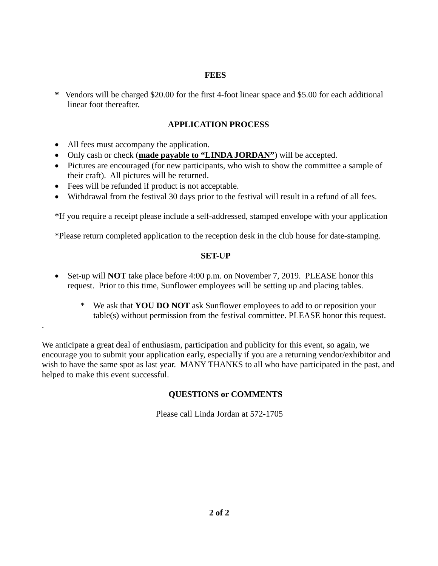#### **FEES**

**\*** Vendors will be charged \$20.00 for the first 4-foot linear space and \$5.00 for each additional linear foot thereafter.

### **APPLICATION PROCESS**

All fees must accompany the application.

.

- Only cash or check (made payable to "LINDA JORDAN") will be accepted.
- Pictures are encouraged (for new participants, who wish to show the committee a sample of their craft). All pictures will be returned.
- Fees will be refunded if product is not acceptable.
- Withdrawal from the festival 30 days prior to the festival will result in a refund of all fees.

\*If you require a receipt please include a self-addressed, stamped envelope with your application

\*Please return completed application to the reception desk in the club house for date-stamping.

#### **SET-UP**

- Set-up will **NOT** take place before 4:00 p.m. on November 7, 2019. PLEASE honor this request. Prior to this time, Sunflower employees will be setting up and placing tables.
	- \* We ask that **YOU DO NOT** ask Sunflower employees to add to or reposition your table(s) without permission from the festival committee. PLEASE honor this request.

We anticipate a great deal of enthusiasm, participation and publicity for this event, so again, we encourage you to submit your application early, especially if you are a returning vendor/exhibitor and wish to have the same spot as last year. MANY THANKS to all who have participated in the past, and helped to make this event successful.

#### **QUESTIONS or COMMENTS**

Please call Linda Jordan at 572-1705